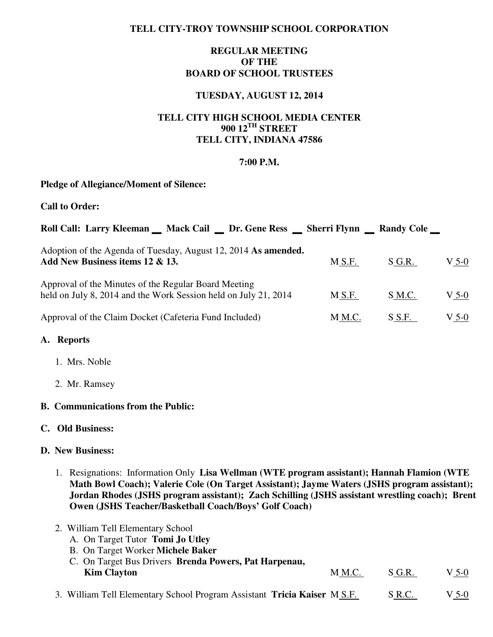## **TELL CITY-TROY TOWNSHIP SCHOOL CORPORATION**

# **REGULAR MEETING OF THE BOARD OF SCHOOL TRUSTEES**

## **TUESDAY, AUGUST 12, 2014**

# **TELL CITY HIGH SCHOOL MEDIA CENTER 900 12TH STREET TELL CITY, INDIANA 47586**

### **7:00 P.M.**

### **Pledge of Allegiance/Moment of Silence:**

**Call to Order:** 

| Roll Call: Larry Kleeman _ Mack Cail _ Dr. Gene Ress _ Sherri Flynn _ Randy Cole _                                      |        |          |         |
|-------------------------------------------------------------------------------------------------------------------------|--------|----------|---------|
| Adoption of the Agenda of Tuesday, August 12, 2014 As amended.<br>Add New Business items 12 & 13.                       | M S.F. | $S$ G.R. | $V$ 5-0 |
| Approval of the Minutes of the Regular Board Meeting<br>held on July 8, 2014 and the Work Session held on July 21, 2014 | M S.F. | S M.C.   | $V$ 5-0 |
| Approval of the Claim Docket (Cafeteria Fund Included)                                                                  | M M.C. | S S.F.   | $V$ 5-0 |

#### **A. Reports**

- 1. Mrs. Noble
- 2. Mr. Ramsey

## **B. Communications from the Public:**

#### **C. Old Business:**

#### **D. New Business:**

1. Resignations: Information Only **Lisa Wellman (WTE program assistant); Hannah Flamion (WTE Math Bowl Coach); Valerie Cole (On Target Assistant); Jayme Waters (JSHS program assistant); Jordan Rhodes (JSHS program assistant); Zach Schilling (JSHS assistant wrestling coach); Brent Owen (JSHS Teacher/Basketball Coach/Boys' Golf Coach)**

| 2. William Tell Elementary School<br>A. On Target Tutor Tomi Jo Utley       |        |        |         |
|-----------------------------------------------------------------------------|--------|--------|---------|
| B. On Target Worker Michele Baker                                           |        |        |         |
| C. On Target Bus Drivers Brenda Powers, Pat Harpenau,<br><b>Kim Clayton</b> | M M.C. | S G.R. | $V$ 5-0 |
| 3. William Tell Elementary School Program Assistant Tricia Kaiser M S.F.    |        | S R.C. | V 5-0   |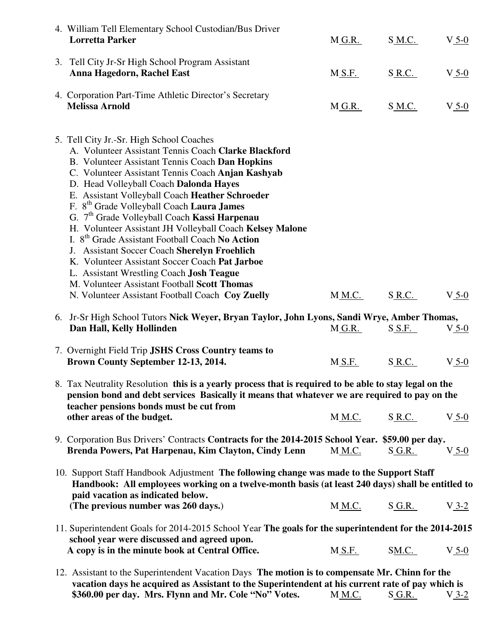| 4. William Tell Elementary School Custodian/Bus Driver<br><b>Lorretta Parker</b>                                                                                                                                                                                                                                                                                                                                                                                                                                                                                                                                                                                                                                                                                                                        | $M_{\odot}$ G.R.       | S M.C.        | $V_{.5-0}$ |
|---------------------------------------------------------------------------------------------------------------------------------------------------------------------------------------------------------------------------------------------------------------------------------------------------------------------------------------------------------------------------------------------------------------------------------------------------------------------------------------------------------------------------------------------------------------------------------------------------------------------------------------------------------------------------------------------------------------------------------------------------------------------------------------------------------|------------------------|---------------|------------|
| 3. Tell City Jr-Sr High School Program Assistant<br>Anna Hagedorn, Rachel East                                                                                                                                                                                                                                                                                                                                                                                                                                                                                                                                                                                                                                                                                                                          | M S.F.                 | S R.C.        | $V_5-0$    |
| 4. Corporation Part-Time Athletic Director's Secretary<br><b>Melissa Arnold</b>                                                                                                                                                                                                                                                                                                                                                                                                                                                                                                                                                                                                                                                                                                                         | $M_{.}$ G.R.           | S <u>M.C.</u> | $V_{.5-0}$ |
| 5. Tell City Jr.-Sr. High School Coaches<br>A. Volunteer Assistant Tennis Coach Clarke Blackford<br>B. Volunteer Assistant Tennis Coach Dan Hopkins<br>C. Volunteer Assistant Tennis Coach Anjan Kashyab<br>D. Head Volleyball Coach Dalonda Hayes<br>E. Assistant Volleyball Coach Heather Schroeder<br>F. 8 <sup>th</sup> Grade Volleyball Coach Laura James<br>G. 7 <sup>th</sup> Grade Volleyball Coach Kassi Harpenau<br>H. Volunteer Assistant JH Volleyball Coach Kelsey Malone<br>I. 8 <sup>th</sup> Grade Assistant Football Coach No Action<br>J. Assistant Soccer Coach Sherelyn Froehlich<br>K. Volunteer Assistant Soccer Coach Pat Jarboe<br>L. Assistant Wrestling Coach Josh Teague<br>M. Volunteer Assistant Football Scott Thomas<br>N. Volunteer Assistant Football Coach Coy Zuelly | $M$ $M$ .C.            | S R.C.        | $V_5-0$    |
|                                                                                                                                                                                                                                                                                                                                                                                                                                                                                                                                                                                                                                                                                                                                                                                                         |                        |               |            |
| 6. Jr-Sr High School Tutors Nick Weyer, Bryan Taylor, John Lyons, Sandi Wrye, Amber Thomas,<br>Dan Hall, Kelly Hollinden                                                                                                                                                                                                                                                                                                                                                                                                                                                                                                                                                                                                                                                                                | $M_{\odot}$ G.R.       | S_S.F.        | $V_{.5-0}$ |
| 7. Overnight Field Trip JSHS Cross Country teams to<br>Brown County September 12-13, 2014.                                                                                                                                                                                                                                                                                                                                                                                                                                                                                                                                                                                                                                                                                                              | M S.F.                 | S R.C.        | $V_5-0$    |
| 8. Tax Neutrality Resolution this is a yearly process that is required to be able to stay legal on the<br>pension bond and debt services Basically it means that whatever we are required to pay on the                                                                                                                                                                                                                                                                                                                                                                                                                                                                                                                                                                                                 |                        |               |            |
| teacher pensions bonds must be cut from<br>other areas of the budget.                                                                                                                                                                                                                                                                                                                                                                                                                                                                                                                                                                                                                                                                                                                                   | <b>M_M.C.</b>          | <u>S R.C.</u> | $V_5-0$    |
| 9. Corporation Bus Drivers' Contracts Contracts for the 2014-2015 School Year. \$59.00 per day.<br>Brenda Powers, Pat Harpenau, Kim Clayton, Cindy Lenn                                                                                                                                                                                                                                                                                                                                                                                                                                                                                                                                                                                                                                                 | M M.C.                 | S G.R.        | $V_5-0$    |
| 10. Support Staff Handbook Adjustment The following change was made to the Support Staff<br>Handbook: All employees working on a twelve-month basis (at least 240 days) shall be entitled to                                                                                                                                                                                                                                                                                                                                                                                                                                                                                                                                                                                                            |                        |               |            |
| paid vacation as indicated below.<br>(The previous number was 260 days.)                                                                                                                                                                                                                                                                                                                                                                                                                                                                                                                                                                                                                                                                                                                                | <u>M<sub>M.C</sub></u> | <u>S G.R.</u> | $V_3-2$    |
| 11. Superintendent Goals for 2014-2015 School Year The goals for the superintendent for the 2014-2015                                                                                                                                                                                                                                                                                                                                                                                                                                                                                                                                                                                                                                                                                                   |                        |               |            |
| school year were discussed and agreed upon.<br>A copy is in the minute book at Central Office.                                                                                                                                                                                                                                                                                                                                                                                                                                                                                                                                                                                                                                                                                                          | <b>M_S.F.</b>          | SM.C.         | $V_{.5-0}$ |

**\$360.00 per day. Mrs. Flynn and Mr. Cole "No" Votes.** M.M.C. S.G.R. V3-2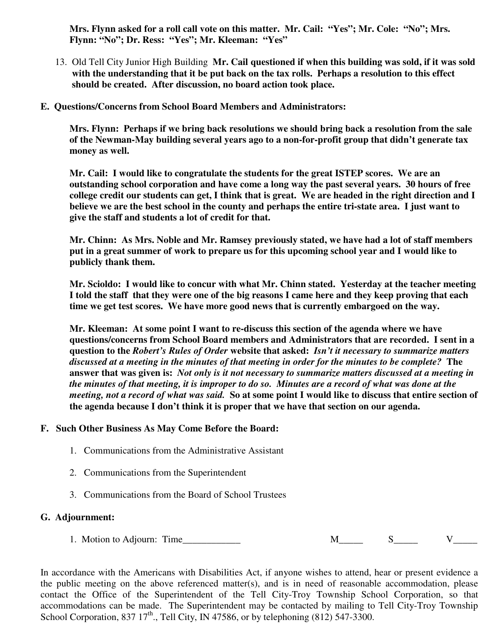**Mrs. Flynn asked for a roll call vote on this matter. Mr. Cail: "Yes"; Mr. Cole: "No"; Mrs. Flynn: "No"; Dr. Ress: "Yes"; Mr. Kleeman: "Yes"** 

- 13. Old Tell City Junior High Building **Mr. Cail questioned if when this building was sold, if it was sold with the understanding that it be put back on the tax rolls. Perhaps a resolution to this effect should be created. After discussion, no board action took place.**
- **E. Questions/Concerns from School Board Members and Administrators:**

 **Mrs. Flynn: Perhaps if we bring back resolutions we should bring back a resolution from the sale of the Newman-May building several years ago to a non-for-profit group that didn't generate tax money as well.** 

 **Mr. Cail: I would like to congratulate the students for the great ISTEP scores. We are an outstanding school corporation and have come a long way the past several years. 30 hours of free college credit our students can get, I think that is great. We are headed in the right direction and I believe we are the best school in the county and perhaps the entire tri-state area. I just want to give the staff and students a lot of credit for that.** 

 **Mr. Chinn: As Mrs. Noble and Mr. Ramsey previously stated, we have had a lot of staff members put in a great summer of work to prepare us for this upcoming school year and I would like to publicly thank them.** 

 **Mr. Scioldo: I would like to concur with what Mr. Chinn stated. Yesterday at the teacher meeting I told the staff that they were one of the big reasons I came here and they keep proving that each time we get test scores. We have more good news that is currently embargoed on the way.** 

 **Mr. Kleeman: At some point I want to re-discuss this section of the agenda where we have questions/concerns from School Board members and Administrators that are recorded. I sent in a question to the** *Robert's Rules of Order* **website that asked:** *Isn't it necessary to summarize matters discussed at a meeting in the minutes of that meeting in order for the minutes to be complete?* **The answer that was given is:** *Not only is it not necessary to summarize matters discussed at a meeting in the minutes of that meeting, it is improper to do so. Minutes are a record of what was done at the meeting, not a record of what was said.* **So at some point I would like to discuss that entire section of the agenda because I don't think it is proper that we have that section on our agenda.** 

## **F. Such Other Business As May Come Before the Board:**

- 1. Communications from the Administrative Assistant
- 2. Communications from the Superintendent
- 3. Communications from the Board of School Trustees

## **G. Adjournment:**

1. Motion to Adjourn: Time\_\_\_\_\_\_\_\_\_\_\_\_ M\_\_\_\_\_ S\_\_\_\_\_ V\_\_\_\_\_

In accordance with the Americans with Disabilities Act, if anyone wishes to attend, hear or present evidence a the public meeting on the above referenced matter(s), and is in need of reasonable accommodation, please contact the Office of the Superintendent of the Tell City-Troy Township School Corporation, so that accommodations can be made. The Superintendent may be contacted by mailing to Tell City-Troy Township School Corporation, 837 17<sup>th</sup>., Tell City, IN 47586, or by telephoning (812) 547-3300.